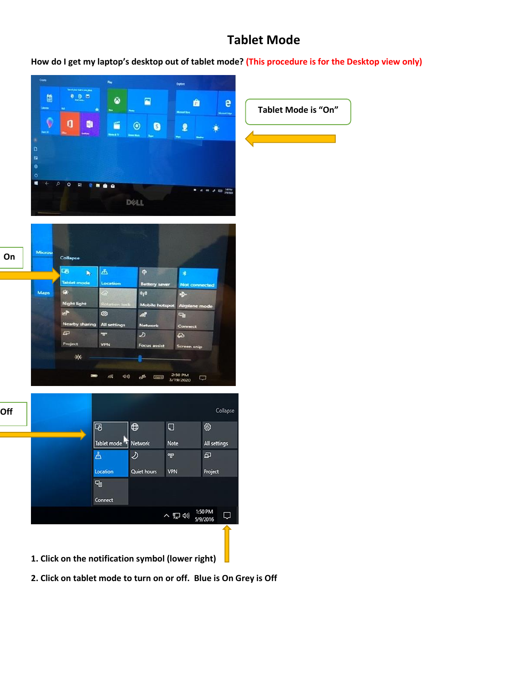## **Tablet Mode**

**How do I get my laptop's desktop out of tablet mode? (This procedure is for the Desktop view only)**



**2. Click on tablet mode to turn on or off. Blue is On Grey is Off**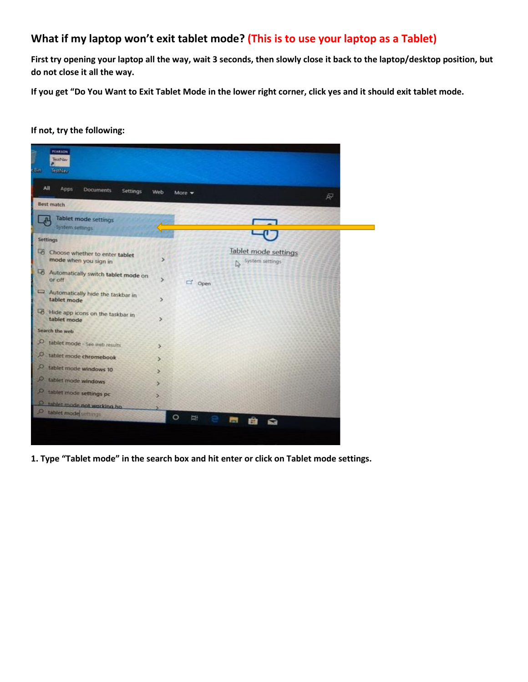## **What if my laptop won't exit tablet mode? (This is to use your laptop as a Tablet)**

**First try opening your laptop all the way, wait 3 seconds, then slowly close it back to the laptop/desktop position, but do not close it all the way.**

**If you get "Do You Want to Exit Tablet Mode in the lower right corner, click yes and it should exit tablet mode.**

**If not, try the following:**

| All<br>Apps<br><b>Documents</b><br>Settings             | Web            | More v       |                                         | 渜 |
|---------------------------------------------------------|----------------|--------------|-----------------------------------------|---|
| <b>Best match</b>                                       |                |              |                                         |   |
| <b>Tablet mode settings</b><br>System settings          |                |              |                                         |   |
| Settings                                                |                |              |                                         |   |
| Choose whether to enter tablet<br>mode when you sign in | ъ              |              | Tablet mode settings<br>System settings |   |
| Automatically switch tablet mode on<br>or off           | ×              | $\Box'$ Open |                                         |   |
| Automatically hide the taskbar in<br>tablet mode        | $\mathbf{v}$   |              |                                         |   |
| LB Hide app icons on the taskbar in<br>tablet mode      | $\mathcal{P}$  |              |                                         |   |
| Search the web                                          |                |              |                                         |   |
| tablet mode - See web results                           | $\overline{ }$ |              |                                         |   |
| tablet mode chromebook                                  | У              |              |                                         |   |
| tablet mode windows 10                                  |                |              |                                         |   |
| tablet mode windows                                     |                |              |                                         |   |
| O tablet mode settings pc                               | s.             |              |                                         |   |
| O tablet mode not working bo                            |                |              |                                         |   |

**1. Type "Tablet mode" in the search box and hit enter or click on Tablet mode settings.**